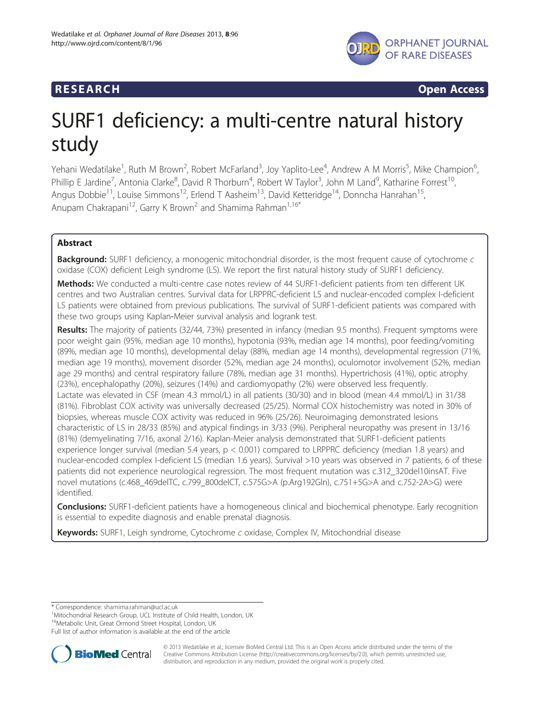

**RESEARCH CHINESEARCH CHINESEARCH CHINESE** 

# SURF1 deficiency: a multi-centre natural history study

Yehani Wedatilake<sup>1</sup>, Ruth M Brown<sup>2</sup>, Robert McFarland<sup>3</sup>, Joy Yaplito-Lee<sup>4</sup>, Andrew A M Morris<sup>5</sup>, Mike Champion<sup>6</sup> , Phillip E Jardine<sup>7</sup>, Antonia Clarke<sup>8</sup>, David R Thorburn<sup>4</sup>, Robert W Taylor<sup>3</sup>, John M Land<sup>9</sup>, Katharine Forrest<sup>10</sup>, Angus Dobbie<sup>11</sup>, Louise Simmons<sup>12</sup>, Erlend T Aasheim<sup>13</sup>, David Ketteridge<sup>14</sup>, Donncha Hanrahan<sup>15</sup>, Anupam Chakrapani<sup>12</sup>, Garry K Brown<sup>2</sup> and Shamima Rahman<sup>1,16\*</sup>

# Abstract

Background: SURF1 deficiency, a monogenic mitochondrial disorder, is the most frequent cause of cytochrome c oxidase (COX) deficient Leigh syndrome (LS). We report the first natural history study of SURF1 deficiency.

Methods: We conducted a multi-centre case notes review of 44 SURF1-deficient patients from ten different UK centres and two Australian centres. Survival data for LRPPRC-deficient LS and nuclear-encoded complex I-deficient LS patients were obtained from previous publications. The survival of SURF1-deficient patients was compared with these two groups using Kaplan-Meier survival analysis and logrank test.

Results: The majority of patients (32/44, 73%) presented in infancy (median 9.5 months). Frequent symptoms were poor weight gain (95%, median age 10 months), hypotonia (93%, median age 14 months), poor feeding/vomiting (89%, median age 10 months), developmental delay (88%, median age 14 months), developmental regression (71%, median age 19 months), movement disorder (52%, median age 24 months), oculomotor involvement (52%, median age 29 months) and central respiratory failure (78%, median age 31 months). Hypertrichosis (41%), optic atrophy (23%), encephalopathy (20%), seizures (14%) and cardiomyopathy (2%) were observed less frequently. Lactate was elevated in CSF (mean 4.3 mmol/L) in all patients (30/30) and in blood (mean 4.4 mmol/L) in 31/38 (81%). Fibroblast COX activity was universally decreased (25/25). Normal COX histochemistry was noted in 30% of biopsies, whereas muscle COX activity was reduced in 96% (25/26). Neuroimaging demonstrated lesions characteristic of LS in 28/33 (85%) and atypical findings in 3/33 (9%). Peripheral neuropathy was present in 13/16 (81%) (demyelinating 7/16, axonal 2/16). Kaplan-Meier analysis demonstrated that SURF1-deficient patients experience longer survival (median 5.4 years, p < 0.001) compared to LRPPRC deficiency (median 1.8 years) and nuclear-encoded complex I-deficient LS (median 1.6 years). Survival >10 years was observed in 7 patients, 6 of these patients did not experience neurological regression. The most frequent mutation was c.312\_320del10insAT. Five novel mutations (c.468\_469delTC, c.799\_800delCT, c.575G>A (p.Arg192Gln), c.751+5G>A and c.752-2A>G) were identified.

**Conclusions:** SURF1-deficient patients have a homogeneous clinical and biochemical phenotype. Early recognition is essential to expedite diagnosis and enable prenatal diagnosis.

Keywords: SURF1, Leigh syndrome, Cytochrome c oxidase, Complex IV, Mitochondrial disease

<sup>1</sup>Mitochondrial Research Group, UCL Institute of Child Health, London, UK

<sup>16</sup>Metabolic Unit, Great Ormond Street Hospital, London, UK

Full list of author information is available at the end of the article



© 2013 Wedatilake et al.; licensee BioMed Central Ltd. This is an Open Access article distributed under the terms of the Creative Commons Attribution License (<http://creativecommons.org/licenses/by/2.0>), which permits unrestricted use, distribution, and reproduction in any medium, provided the original work is properly cited.

<sup>\*</sup> Correspondence: [shamima.rahman@ucl.ac.uk](mailto:shamima.rahman@ucl.ac.uk) <sup>1</sup>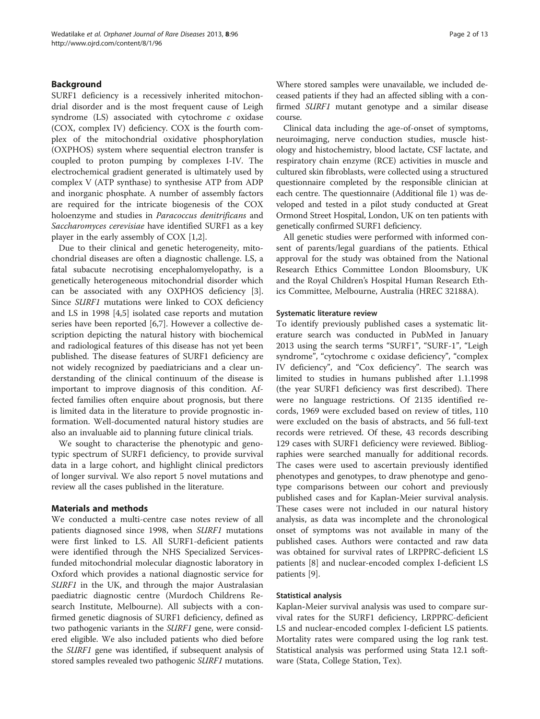#### Background

SURF1 deficiency is a recessively inherited mitochondrial disorder and is the most frequent cause of Leigh syndrome (LS) associated with cytochrome c oxidase (COX, complex IV) deficiency. COX is the fourth complex of the mitochondrial oxidative phosphorylation (OXPHOS) system where sequential electron transfer is coupled to proton pumping by complexes I-IV. The electrochemical gradient generated is ultimately used by complex V (ATP synthase) to synthesise ATP from ADP and inorganic phosphate. A number of assembly factors are required for the intricate biogenesis of the COX holoenzyme and studies in Paracoccus denitrificans and Saccharomyces cerevisiae have identified SURF1 as a key player in the early assembly of COX [\[1,2](#page-11-0)].

Due to their clinical and genetic heterogeneity, mitochondrial diseases are often a diagnostic challenge. LS, a fatal subacute necrotising encephalomyelopathy, is a genetically heterogeneous mitochondrial disorder which can be associated with any OXPHOS deficiency [\[3](#page-12-0)]. Since SURF1 mutations were linked to COX deficiency and LS in 1998 [[4](#page-12-0),[5\]](#page-12-0) isolated case reports and mutation series have been reported [\[6,7](#page-12-0)]. However a collective description depicting the natural history with biochemical and radiological features of this disease has not yet been published. The disease features of SURF1 deficiency are not widely recognized by paediatricians and a clear understanding of the clinical continuum of the disease is important to improve diagnosis of this condition. Affected families often enquire about prognosis, but there is limited data in the literature to provide prognostic information. Well-documented natural history studies are also an invaluable aid to planning future clinical trials.

We sought to characterise the phenotypic and genotypic spectrum of SURF1 deficiency, to provide survival data in a large cohort, and highlight clinical predictors of longer survival. We also report 5 novel mutations and review all the cases published in the literature.

#### Materials and methods

We conducted a multi-centre case notes review of all patients diagnosed since 1998, when SURF1 mutations were first linked to LS. All SURF1-deficient patients were identified through the NHS Specialized Servicesfunded mitochondrial molecular diagnostic laboratory in Oxford which provides a national diagnostic service for SURF1 in the UK, and through the major Australasian paediatric diagnostic centre (Murdoch Childrens Research Institute, Melbourne). All subjects with a confirmed genetic diagnosis of SURF1 deficiency, defined as two pathogenic variants in the SURF1 gene, were considered eligible. We also included patients who died before the SURF1 gene was identified, if subsequent analysis of stored samples revealed two pathogenic SURF1 mutations.

Where stored samples were unavailable, we included deceased patients if they had an affected sibling with a confirmed SURF1 mutant genotype and a similar disease course.

Clinical data including the age-of-onset of symptoms, neuroimaging, nerve conduction studies, muscle histology and histochemistry, blood lactate, CSF lactate, and respiratory chain enzyme (RCE) activities in muscle and cultured skin fibroblasts, were collected using a structured questionnaire completed by the responsible clinician at each centre. The questionnaire (Additional file [1](#page-11-0)) was developed and tested in a pilot study conducted at Great Ormond Street Hospital, London, UK on ten patients with genetically confirmed SURF1 deficiency.

All genetic studies were performed with informed consent of parents/legal guardians of the patients. Ethical approval for the study was obtained from the National Research Ethics Committee London Bloomsbury, UK and the Royal Children's Hospital Human Research Ethics Committee, Melbourne, Australia (HREC 32188A).

#### Systematic literature review

To identify previously published cases a systematic literature search was conducted in PubMed in January 2013 using the search terms "SURF1", "SURF-1", "Leigh syndrome", "cytochrome c oxidase deficiency", "complex IV deficiency", and "Cox deficiency". The search was limited to studies in humans published after 1.1.1998 (the year SURF1 deficiency was first described). There were no language restrictions. Of 2135 identified records, 1969 were excluded based on review of titles, 110 were excluded on the basis of abstracts, and 56 full-text records were retrieved. Of these, 43 records describing 129 cases with SURF1 deficiency were reviewed. Bibliographies were searched manually for additional records. The cases were used to ascertain previously identified phenotypes and genotypes, to draw phenotype and genotype comparisons between our cohort and previously published cases and for Kaplan-Meier survival analysis. These cases were not included in our natural history analysis, as data was incomplete and the chronological onset of symptoms was not available in many of the published cases. Authors were contacted and raw data was obtained for survival rates of LRPPRC-deficient LS patients [[8](#page-12-0)] and nuclear-encoded complex I-deficient LS patients [\[9\]](#page-12-0).

#### Statistical analysis

Kaplan-Meier survival analysis was used to compare survival rates for the SURF1 deficiency, LRPPRC-deficient LS and nuclear-encoded complex I-deficient LS patients. Mortality rates were compared using the log rank test. Statistical analysis was performed using Stata 12.1 software (Stata, College Station, Tex).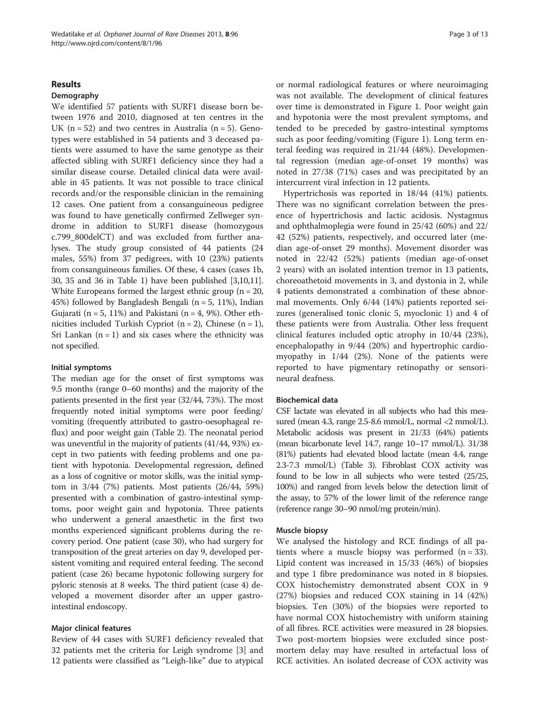#### Results

#### Demography

We identified 57 patients with SURF1 disease born between 1976 and 2010, diagnosed at ten centres in the UK  $(n = 52)$  and two centres in Australia  $(n = 5)$ . Genotypes were established in 54 patients and 3 deceased patients were assumed to have the same genotype as their affected sibling with SURF1 deficiency since they had a similar disease course. Detailed clinical data were available in 45 patients. It was not possible to trace clinical records and/or the responsible clinician in the remaining 12 cases. One patient from a consanguineous pedigree was found to have genetically confirmed Zellweger syndrome in addition to SURF1 disease (homozygous c.799 800delCT) and was excluded from further analyses. The study group consisted of 44 patients (24 males, 55%) from 37 pedigrees, with 10 (23%) patients from consanguineous families. Of these, 4 cases (cases 1b, 30, 35 and 36 in Table [1\)](#page-3-0) have been published [\[3,10,11](#page-12-0)]. White Europeans formed the largest ethnic group ( $n = 20$ , 45%) followed by Bangladesh Bengali ( $n = 5$ , 11%), Indian Gujarati ( $n = 5$ , 11%) and Pakistani ( $n = 4$ , 9%). Other ethnicities included Turkish Cypriot ( $n = 2$ ), Chinese ( $n = 1$ ), Sri Lankan  $(n = 1)$  and six cases where the ethnicity was not specified.

#### Initial symptoms

The median age for the onset of first symptoms was 9.5 months (range 0–60 months) and the majority of the patients presented in the first year (32/44, 73%). The most frequently noted initial symptoms were poor feeding/ vomiting (frequently attributed to gastro-oesophageal reflux) and poor weight gain (Table [2](#page-7-0)). The neonatal period was uneventful in the majority of patients (41/44, 93%) except in two patients with feeding problems and one patient with hypotonia. Developmental regression, defined as a loss of cognitive or motor skills, was the initial symptom in 3/44 (7%) patients. Most patients (26/44, 59%) presented with a combination of gastro-intestinal symptoms, poor weight gain and hypotonia. Three patients who underwent a general anaesthetic in the first two months experienced significant problems during the recovery period. One patient (case 30), who had surgery for transposition of the great arteries on day 9, developed persistent vomiting and required enteral feeding. The second patient (case 26) became hypotonic following surgery for pyloric stenosis at 8 weeks. The third patient (case 4) developed a movement disorder after an upper gastrointestinal endoscopy.

#### Major clinical features

Review of 44 cases with SURF1 deficiency revealed that 32 patients met the criteria for Leigh syndrome [[3\]](#page-12-0) and 12 patients were classified as "Leigh-like" due to atypical or normal radiological features or where neuroimaging was not available. The development of clinical features over time is demonstrated in Figure [1.](#page-7-0) Poor weight gain and hypotonia were the most prevalent symptoms, and tended to be preceded by gastro-intestinal symptoms such as poor feeding/vomiting (Figure [1](#page-7-0)). Long term enteral feeding was required in 21/44 (48%). Developmental regression (median age-of-onset 19 months) was noted in 27/38 (71%) cases and was precipitated by an intercurrent viral infection in 12 patients.

Hypertrichosis was reported in 18/44 (41%) patients. There was no significant correlation between the presence of hypertrichosis and lactic acidosis. Nystagmus and ophthalmoplegia were found in 25/42 (60%) and 22/ 42 (52%) patients, respectively, and occurred later (median age-of-onset 29 months). Movement disorder was noted in 22/42 (52%) patients (median age-of-onset 2 years) with an isolated intention tremor in 13 patients, choreoathetoid movements in 3, and dystonia in 2, while 4 patients demonstrated a combination of these abnormal movements. Only 6/44 (14%) patients reported seizures (generalised tonic clonic 5, myoclonic 1) and 4 of these patients were from Australia. Other less frequent clinical features included optic atrophy in 10/44 (23%), encephalopathy in 9/44 (20%) and hypertrophic cardiomyopathy in 1/44 (2%). None of the patients were reported to have pigmentary retinopathy or sensorineural deafness.

#### Biochemical data

CSF lactate was elevated in all subjects who had this measured (mean 4.3, range 2.5-8.6 mmol/L, normal <2 mmol/L). Metabolic acidosis was present in 21/33 (64%) patients (mean bicarbonate level 14.7, range 10–17 mmol/L). 31/38 (81%) patients had elevated blood lactate (mean 4.4, range 2.3-7.3 mmol/L) (Table [3\)](#page-8-0). Fibroblast COX activity was found to be low in all subjects who were tested (25/25, 100%) and ranged from levels below the detection limit of the assay, to 57% of the lower limit of the reference range (reference range 30–90 nmol/mg protein/min).

#### Muscle biopsy

We analysed the histology and RCE findings of all patients where a muscle biopsy was performed  $(n = 33)$ . Lipid content was increased in 15/33 (46%) of biopsies and type 1 fibre predominance was noted in 8 biopsies. COX histochemistry demonstrated absent COX in 9 (27%) biopsies and reduced COX staining in 14 (42%) biopsies. Ten (30%) of the biopsies were reported to have normal COX histochemistry with uniform staining of all fibres. RCE activities were measured in 28 biopsies. Two post-mortem biopsies were excluded since postmortem delay may have resulted in artefactual loss of RCE activities. An isolated decrease of COX activity was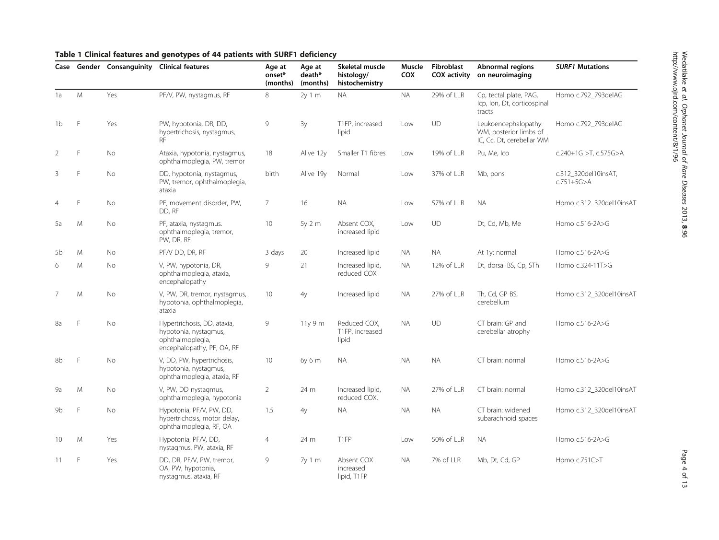<span id="page-3-0"></span>

| Table 1 Clinical features and genotypes of 44 patients with SURF1 deficiency |  |  |  |
|------------------------------------------------------------------------------|--|--|--|
|------------------------------------------------------------------------------|--|--|--|

|                |   |           | Case Gender Consanguinity Clinical features                                                            | Age at<br>onset*<br>(months) | Age at<br>death*<br>(months) | Skeletal muscle<br>histology/<br>histochemistry | Muscle<br><b>COX</b> | <b>Fibroblast</b><br><b>COX</b> activity | Abnormal regions<br>on neuroimaging                                         | <b>SURF1 Mutations</b>                   |
|----------------|---|-----------|--------------------------------------------------------------------------------------------------------|------------------------------|------------------------------|-------------------------------------------------|----------------------|------------------------------------------|-----------------------------------------------------------------------------|------------------------------------------|
| 1a             | M | Yes       | PF/V, PW, nystagmus, RF                                                                                | 8                            | 2y 1 m                       | <b>NA</b>                                       | <b>NA</b>            | 29% of LLR                               | Cp, tectal plate, PAG,<br>Icp, Ion, Dt, corticospinal<br>tracts             | Homo c.792_793delAG                      |
| 1b             | F | Yes       | PW, hypotonia, DR, DD,<br>hypertrichosis, nystagmus,<br><b>RF</b>                                      | 9                            | 3y                           | T1FP, increased<br>lipid                        | Low                  | UD                                       | Leukoencephalopathy:<br>WM, posterior limbs of<br>IC, Cc, Dt, cerebellar WM | Homo c.792_793delAG                      |
| $\overline{2}$ | F | No        | Ataxia, hypotonia, nystagmus,<br>ophthalmoplegia, PW, tremor                                           | 18                           | Alive 12y                    | Smaller T1 fibres                               | Low                  | 19% of LLR                               | Pu, Me, Ico                                                                 | c.240+1G >T, c.575G>A                    |
| 3              | F | No        | DD, hypotonia, nystagmus,<br>PW, tremor, ophthalmoplegia,<br>ataxia                                    | birth                        | Alive 19y                    | Normal                                          | Low                  | 37% of LLR                               | Mb, pons                                                                    | c.312_320del10insAT,<br>$c.751 + 5G > A$ |
|                | F | No        | PF, movement disorder, PW,<br>DD, RF                                                                   | $\overline{7}$               | 16                           | <b>NA</b>                                       | Low                  | 57% of LLR                               | <b>NA</b>                                                                   | Homo c.312_320del10insAT                 |
| 5a             | M | No        | PF, ataxia, nystagmus.<br>ophthalmoplegia, tremor,<br>PW, DR, RF                                       | 10                           | 5y 2 m                       | Absent COX,<br>increased lipid                  | Low                  | UD                                       | Dt, Cd, Mb, Me                                                              | Homo c.516-2A>G                          |
| 5b             | M | <b>No</b> | PF/V DD, DR, RF                                                                                        | 3 days                       | 20                           | Increased lipid                                 | <b>NA</b>            | <b>NA</b>                                | At 1y: normal                                                               | Homo c.516-2A>G                          |
| 6              | M | No        | V, PW, hypotonia, DR,<br>ophthalmoplegia, ataxia,<br>encephalopathy                                    | 9                            | 21                           | Increased lipid,<br>reduced COX                 | <b>NA</b>            | 12% of LLR                               | Dt, dorsal BS, Cp, STh                                                      | Homo c.324-11T>G                         |
| 7              | M | <b>No</b> | V, PW, DR, tremor, nystagmus,<br>hypotonia, ophthalmoplegia,<br>ataxia                                 | 10                           | 4y                           | Increased lipid                                 | NA.                  | 27% of LLR                               | Th, Cd, GP BS,<br>cerebellum                                                | Homo c.312 320del10insAT                 |
| 8a             | F | <b>No</b> | Hypertrichosis, DD, ataxia,<br>hypotonia, nystagmus,<br>ophthalmoplegia,<br>encephalopathy, PF, OA, RF | 9                            | 11y9m                        | Reduced COX.<br>T1FP, increased<br>lipid        | <b>NA</b>            | UD                                       | CT brain: GP and<br>cerebellar atrophy                                      | Homo c.516-2A>G                          |
| 8b             | F | <b>No</b> | V, DD, PW, hypertrichosis,<br>hypotonia, nystagmus,<br>ophthalmoplegia, ataxia, RF                     | 10                           | 6y 6 m                       | <b>NA</b>                                       | NA.                  | <b>NA</b>                                | CT brain: normal                                                            | Homo c.516-2A>G                          |
| 9а             | M | No        | V, PW, DD nystagmus,<br>ophthalmoplegia, hypotonia                                                     | $\overline{2}$               | 24 m                         | Increased lipid,<br>reduced COX.                | <b>NA</b>            | 27% of LLR                               | CT brain: normal                                                            | Homo c.312_320del10insAT                 |
| 9 <sub>b</sub> | F | <b>No</b> | Hypotonia, PF/V, PW, DD,<br>hypertrichosis, motor delay,<br>ophthalmoplegia, RF, OA                    | 1.5                          | 4y                           | <b>NA</b>                                       | <b>NA</b>            | <b>NA</b>                                | CT brain: widened<br>subarachnoid spaces                                    | Homo c.312 320del10insAT                 |
| 10             | M | Yes       | Hypotonia, PF/V, DD,<br>nystagmus, PW, ataxia, RF                                                      | $\overline{4}$               | 24 m                         | T1FP                                            | Low                  | 50% of LLR                               | <b>NA</b>                                                                   | Homo c.516-2A>G                          |
| 11             | F | Yes       | DD, DR, PF/V, PW, tremor,<br>OA, PW, hypotonia,<br>nystagmus, ataxia, RF                               | 9                            | 7y1m                         | Absent COX<br>increased<br>lipid. T1FP          | NA.                  | 7% of LLR                                | Mb, Dt, Cd, GP                                                              | Homo c.751C>T                            |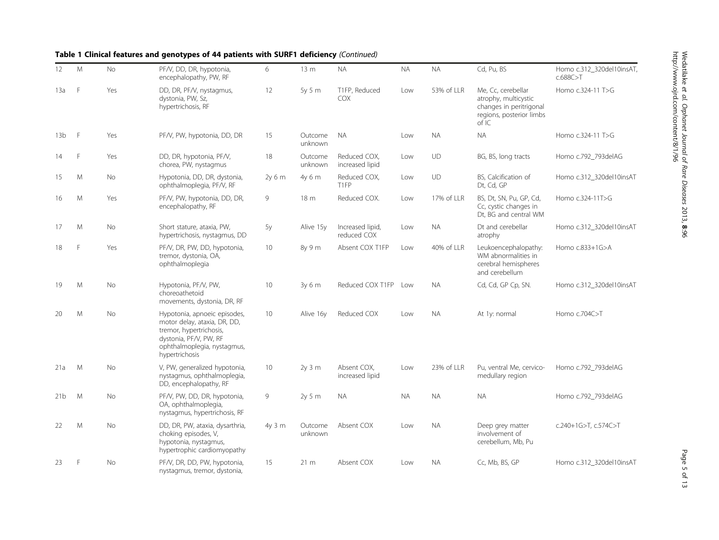# Table 1 Clinical features and genotypes of 44 patients with SURF1 deficiency (Continued)

| 12              | M | <b>No</b> | PF/V, DD, DR, hypotonia,<br>encephalopathy, PW, RF                                                                                                                 | 6      | 13 <sub>m</sub>    | <b>NA</b>                       | <b>NA</b> | <b>NA</b>  | Cd, Pu, BS                                                                                                 | Homo c.312_320del10insAT,<br>c.688C > T |
|-----------------|---|-----------|--------------------------------------------------------------------------------------------------------------------------------------------------------------------|--------|--------------------|---------------------------------|-----------|------------|------------------------------------------------------------------------------------------------------------|-----------------------------------------|
| 13a             | F | Yes       | DD, DR, PF/V, nystagmus,<br>dystonia, PW, Sz,<br>hypertrichosis, RF                                                                                                | 12     | 5y 5 m             | T1FP, Reduced<br><b>COX</b>     | Low       | 53% of LLR | Me. Cc. cerebellar<br>atrophy, multicystic<br>changes in peritrigonal<br>regions, posterior limbs<br>of IC | Homo c.324-11 T>G                       |
| 13 <sub>b</sub> | F | Yes       | PF/V, PW, hypotonia, DD, DR                                                                                                                                        | 15     | Outcome<br>unknown | <b>NA</b>                       | Low       | <b>NA</b>  | <b>NA</b>                                                                                                  | Homo c.324-11 T>G                       |
| 14              | F | Yes       | DD, DR, hypotonia, PF/V,<br>chorea, PW, nystagmus                                                                                                                  | 18     | Outcome<br>unknown | Reduced COX.<br>increased lipid | Low       | UD         | BG, BS, long tracts                                                                                        | Homo c.792_793delAG                     |
| 15              | M | <b>No</b> | Hypotonia, DD, DR, dystonia,<br>ophthalmoplegia, PF/V, RF                                                                                                          | 2v 6 m | 4y 6 m             | Reduced COX,<br>T1FP            | Low       | UD         | BS. Calcification of<br>Dt, Cd, GP                                                                         | Homo c.312 320del10insAT                |
| 16              | M | Yes       | PF/V, PW, hypotonia, DD, DR,<br>encephalopathy, RF                                                                                                                 | 9      | 18 <sub>m</sub>    | Reduced COX.                    | Low       | 17% of LLR | BS, Dt, SN, Pu, GP, Cd,<br>Cc, cystic changes in<br>Dt, BG and central WM                                  | Homo c.324-11T>G                        |
| 17              | M | <b>No</b> | Short stature, ataxia, PW,<br>hypertrichosis, nystagmus, DD                                                                                                        | 5y     | Alive 15y          | Increased lipid,<br>reduced COX | Low       | <b>NA</b>  | Dt and cerebellar<br>atrophy                                                                               | Homo c.312 320del10insAT                |
| 18              | E | Yes       | PF/V, DR, PW, DD, hypotonia,<br>tremor, dystonia, OA,<br>ophthalmoplegia                                                                                           | 10     | 8y 9 m             | Absent COX T1FP                 | Low       | 40% of LLR | Leukoencephalopathy:<br>WM abnormalities in<br>cerebral hemispheres<br>and cerebellum                      | Homo c.833+1G>A                         |
| 19              | M | No        | Hypotonia, PF/V, PW,<br>choreoathetoid<br>movements, dystonia, DR, RF                                                                                              | 10     | 3y 6 m             | Reduced COX T1FP                | l ow      | <b>NA</b>  | Cd, Cd, GP Cp, SN.                                                                                         | Homo c.312_320del10insAT                |
| 20              | M | <b>No</b> | Hypotonia, apnoeic episodes,<br>motor delay, ataxia, DR, DD,<br>tremor, hypertrichosis,<br>dystonia, PF/V, PW, RF<br>ophthalmoplegia, nystagmus,<br>hypertrichosis | 10     | Alive 16y          | Reduced COX                     | Low       | <b>NA</b>  | At 1y: normal                                                                                              | Homo c.704C>T                           |
| 21a             | M | No        | V, PW, generalized hypotonia,<br>nystagmus, ophthalmoplegia,<br>DD, encephalopathy, RF                                                                             | 10     | $2y$ 3 m           | Absent COX.<br>increased lipid  | Low       | 23% of LLR | Pu, ventral Me, cervico-<br>medullary region                                                               | Homo c.792 793delAG                     |
| 21 <sub>b</sub> | M | <b>No</b> | PF/V, PW, DD, DR, hypotonia,<br>OA, ophthalmoplegia,<br>nystagmus, hypertrichosis, RF                                                                              | 9      | 2y 5 m             | <b>NA</b>                       | <b>NA</b> | <b>NA</b>  | <b>NA</b>                                                                                                  | Homo c.792_793delAG                     |
| 22              | M | <b>No</b> | DD, DR, PW, ataxia, dysarthria,<br>choking episodes, V,<br>hypotonia, nystagmus,<br>hypertrophic cardiomyopathy                                                    | 4y 3 m | Outcome<br>unknown | Absent COX                      | Low       | <b>NA</b>  | Deep grey matter<br>involvement of<br>cerebellum, Mb, Pu                                                   | c.240+1G>T, c.574C>T                    |
| 23              | F | <b>No</b> | PF/V, DR, DD, PW, hypotonia,<br>nystagmus, tremor, dystonia,                                                                                                       | 15     | $21 \text{ m}$     | Absent COX                      | Low       | <b>NA</b>  | Cc, Mb, BS, GP                                                                                             | Homo c.312_320del10insAT                |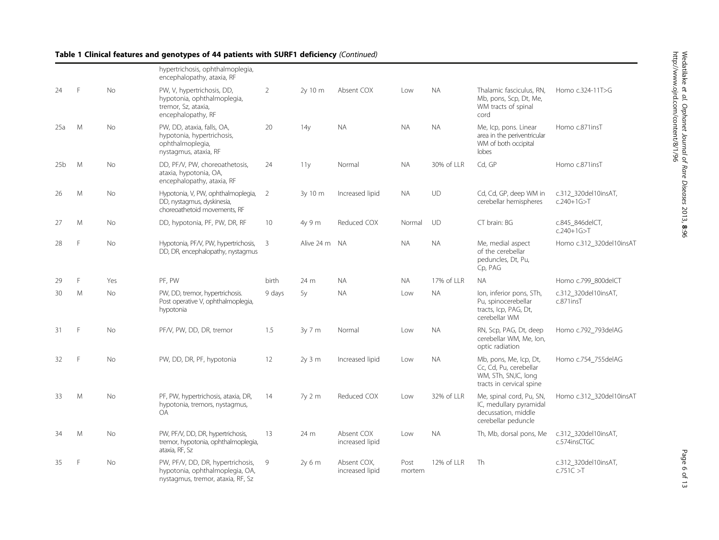Wedatilake et al. Orphanet Journal of Rare Diseases 2013, 8:96http://www.ojrd.com/content/8/1/96

# Table 1 Clinical features and genotypes of 44 patients with SURF1 deficiency (Continued)

|                 |   |           | hypertrichosis, ophthalmoplegia,<br>encephalopathy, ataxia, RF                                         |                |                 |                                |                |            |                                                                                                      |                                          |
|-----------------|---|-----------|--------------------------------------------------------------------------------------------------------|----------------|-----------------|--------------------------------|----------------|------------|------------------------------------------------------------------------------------------------------|------------------------------------------|
| 24              | F | No        | PW, V, hypertrichosis, DD,<br>hypotonia, ophthalmoplegia,<br>tremor, Sz, ataxia,<br>encephalopathy, RF | $\overline{2}$ | 2y 10 m         | Absent COX                     | Low            | <b>NA</b>  | Thalamic fasciculus, RN,<br>Mb, pons, Scp, Dt, Me,<br>WM tracts of spinal<br>cord                    | Homo c.324-11T>G                         |
| 25a             | M | <b>No</b> | PW, DD, ataxia, falls, OA,<br>hypotonia, hypertrichosis,<br>ophthalmoplegia,<br>nystagmus, ataxia, RF  | 20             | 14 <sub>V</sub> | <b>NA</b>                      | <b>NA</b>      | <b>NA</b>  | Me, Icp, pons. Linear<br>area in the periventricular<br>WM of both occipital<br>lobes                | Homo c.871insT                           |
| 25 <sub>b</sub> | M | No        | DD, PF/V, PW, choreoathetosis,<br>ataxia, hypotonia, OA,<br>encephalopathy, ataxia, RF                 | 24             | 11y             | Normal                         | <b>NA</b>      | 30% of LLR | Cd, GP                                                                                               | Homo c.871insT                           |
| 26              | M | <b>No</b> | Hypotonia, V, PW, ophthalmoplegia,<br>DD, nystagmus, dyskinesia,<br>choreoathetoid movements. RF       | 2              | 3y 10 m         | Increased lipid                | <b>NA</b>      | UD         | Cd, Cd, GP, deep WM in<br>cerebellar hemispheres                                                     | c.312_320del10insAT,<br>$c.240 + 1G > T$ |
| 27              | M | No        | DD, hypotonia, PF, PW, DR, RF                                                                          | 10             | 4y 9 m          | Reduced COX                    | Normal         | UD         | CT brain: BG                                                                                         | c.845_846delCT,<br>$c.240 + 1G > T$      |
| 28              | E | <b>No</b> | Hypotonia, PF/V, PW, hypertrichosis,<br>DD, DR, encephalopathy, nystagmus                              | $\overline{3}$ | Alive 24 m      | <b>NA</b>                      | <b>NA</b>      | <b>NA</b>  | Me, medial aspect<br>of the cerebellar<br>peduncles, Dt, Pu,<br>Cp, PAG                              | Homo c.312_320del10insAT                 |
| 29              | F | Yes       | PF, PW                                                                                                 | <b>birth</b>   | 24 m            | <b>NA</b>                      | <b>NA</b>      | 17% of LLR | <b>NA</b>                                                                                            | Homo c.799_800delCT                      |
| 30              | M | <b>No</b> | PW, DD, tremor, hypertrichosis.<br>Post operative V, ophthalmoplegia,<br>hypotonia                     | 9 days         | 5y              | <b>NA</b>                      | Low            | <b>NA</b>  | lon, inferior pons, STh,<br>Pu, spinocerebellar<br>tracts, Icp, PAG, Dt,<br>cerebellar WM            | c.312 320del10insAT,<br>$c.871$ ins $T$  |
| -31             | F | No        | PF/V, PW, DD, DR, tremor                                                                               | 1.5            | $3v$ 7 m        | Normal                         | Low            | <b>NA</b>  | RN, Scp, PAG, Dt, deep<br>cerebellar WM, Me, Ion,<br>optic radiation                                 | Homo c.792 793delAG                      |
| 32              | F | <b>No</b> | PW, DD, DR, PF, hypotonia                                                                              | 12             | $2v3$ m         | Increased lipid                | Low            | <b>NA</b>  | Mb, pons, Me, Icp, Dt,<br>Cc, Cd, Pu, cerebellar<br>WM, STh, SN,IC, long<br>tracts in cervical spine | Homo c.754 755delAG                      |
| 33              | M | <b>No</b> | PF, PW, hypertrichosis, ataxia, DR,<br>hypotonia, tremors, nystagmus,<br><b>OA</b>                     | 14             | 7y2m            | Reduced COX                    | Low            | 32% of LLR | Me, spinal cord, Pu, SN,<br>IC, medullary pyramidal<br>decussation, middle<br>cerebellar peduncle    | Homo c.312 320del10insAT                 |
| 34              | M | <b>No</b> | PW, PF/V, DD, DR, hypertrichosis,<br>tremor, hypotonia, ophthalmoplegia,<br>ataxia, RF, Sz             | 13             | 24 m            | Absent COX<br>increased lipid  | Low            | <b>NA</b>  | Th, Mb, dorsal pons, Me                                                                              | c.312_320del10insAT,<br>c.574insCTGC     |
| 35              | F | <b>No</b> | PW, PF/V, DD, DR, hypertrichosis,<br>hypotonia, ophthalmoplegia, OA,                                   | 9              | 2v 6 m          | Absent COX.<br>increased lipid | Post<br>mortem | 12% of LLR | Th                                                                                                   | c.312 320del10insAT,<br>c.751C > T       |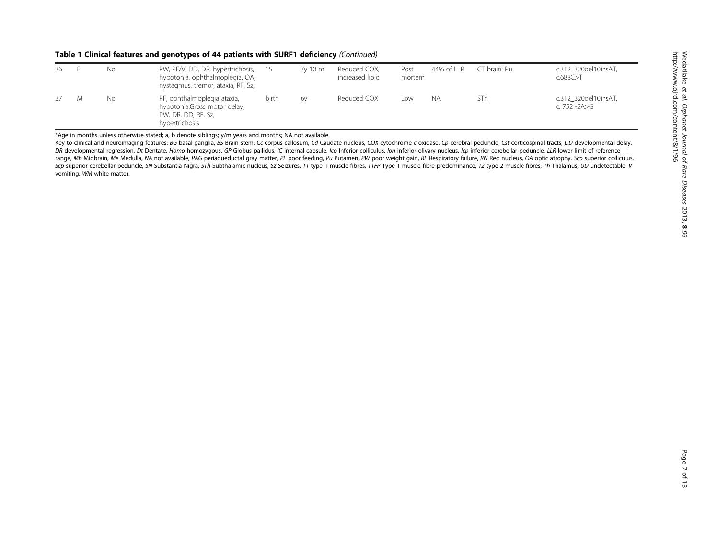#### Table 1 Clinical features and genotypes of 44 patients with SURF1 deficiency (Continued)

| 36 | No | PW, PF/V, DD, DR, hypertrichosis, 15<br>hypotonia, ophthalmoplegia, OA,<br>nystagmus, tremor, ataxia, RF, Sz, |       | 7y 10 m | Reduced COX,<br>increased lipid | Post<br>mortem | 44% of LLR | CT brain: Pu | c.312 320del10insAT,<br>c.688C > T   |
|----|----|---------------------------------------------------------------------------------------------------------------|-------|---------|---------------------------------|----------------|------------|--------------|--------------------------------------|
| 37 | No | PF, ophthalmoplegia ataxia,<br>hypotonia, Gross motor delay,<br>PW, DR, DD, RF, Sz,<br>hypertrichosis         | birth | 6v      | Reduced COX                     | Low            | NА         | STh          | c.312 320del10insAT,<br>c. 752 -2A>G |

\*Age in months unless otherwise stated; a, b denote siblings; y/m years and months; NA not available.

Key to clinical and neuroimaging features: BG basal ganglia, BS Brain stem, Cc corpus callosum, Cd Caudate nucleus, COX cytochrome c oxidase, Cp cerebral peduncle, Cst corticospinal tracts, DD developmental delay, DR developmental regression, Dt Dentate, Homo homozygous, GP Globus pallidus, IC internal capsule, Ico Inferior colliculus, Ion inferior olivary nucleus, Icp inferior cerebellar peduncle, LLR lower limit of reference range, Mb Midbrain, Me Medulla, NA not available, PAG periaqueductal gray matter, PF poor feeding, Pu Putamen, PW poor weight gain, RF Respiratory failure, RN Red nucleus, OA optic atrophy, Sco superior colliculus, Scp superior cerebellar peduncle, SN Substantia Nigra, STh Subthalamic nucleus, Sz Seizures, T1 type 1 muscle fibres, T1FP Type 1 muscle fibre predominance, T2 type 2 muscle fibres, Th Thalamus, UD undetectable, V vomiting, WM white matter.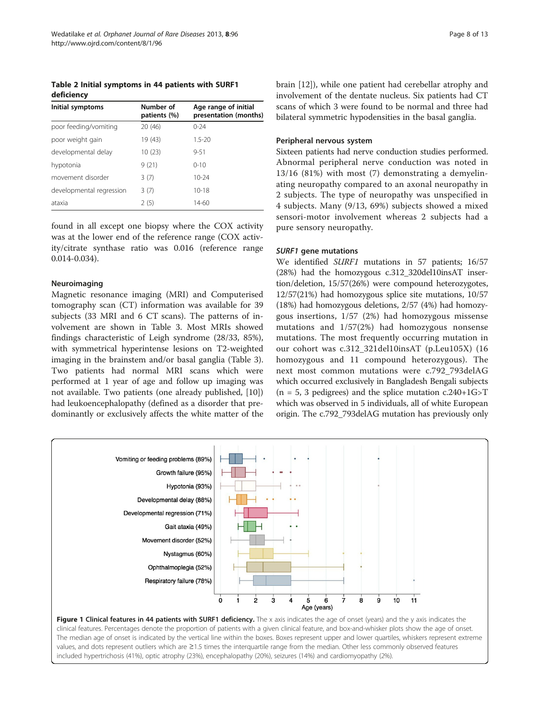<span id="page-7-0"></span>Table 2 Initial symptoms in 44 patients with SURF1 deficiency

| Initial symptoms         | Number of<br>patients (%) | Age range of initial<br>presentation (months) |
|--------------------------|---------------------------|-----------------------------------------------|
| poor feeding/vomiting    | 20 (46)                   | $0 - 24$                                      |
| poor weight gain         | 19 (43)                   | $1.5 - 20$                                    |
| developmental delay      | 10 (23)                   | $9 - 51$                                      |
| hypotonia                | 9(21)                     | $0 - 10$                                      |
| movement disorder        | 3(7)                      | $10 - 24$                                     |
| developmental regression | 3(7)                      | $10 - 18$                                     |
| ataxia                   | 2(5)                      | $14 - 60$                                     |

found in all except one biopsy where the COX activity was at the lower end of the reference range (COX activity/citrate synthase ratio was 0.016 (reference range 0.014-0.034).

#### Neuroimaging

Magnetic resonance imaging (MRI) and Computerised tomography scan (CT) information was available for 39 subjects (33 MRI and 6 CT scans). The patterns of involvement are shown in Table [3.](#page-8-0) Most MRIs showed findings characteristic of Leigh syndrome (28/33, 85%), with symmetrical hyperintense lesions on T2-weighted imaging in the brainstem and/or basal ganglia (Table [3](#page-8-0)). Two patients had normal MRI scans which were performed at 1 year of age and follow up imaging was not available. Two patients (one already published, [\[10](#page-12-0)]) had leukoencephalopathy (defined as a disorder that predominantly or exclusively affects the white matter of the brain [\[12](#page-12-0)]), while one patient had cerebellar atrophy and involvement of the dentate nucleus. Six patients had CT scans of which 3 were found to be normal and three had bilateral symmetric hypodensities in the basal ganglia.

#### Peripheral nervous system

Sixteen patients had nerve conduction studies performed. Abnormal peripheral nerve conduction was noted in 13/16 (81%) with most (7) demonstrating a demyelinating neuropathy compared to an axonal neuropathy in 2 subjects. The type of neuropathy was unspecified in 4 subjects. Many (9/13, 69%) subjects showed a mixed sensori-motor involvement whereas 2 subjects had a pure sensory neuropathy.

#### SURF1 gene mutations

We identified SURF1 mutations in 57 patients; 16/57 (28%) had the homozygous c.312\_320del10insAT insertion/deletion, 15/57(26%) were compound heterozygotes, 12/57(21%) had homozygous splice site mutations, 10/57 (18%) had homozygous deletions, 2/57 (4%) had homozygous insertions, 1/57 (2%) had homozygous missense mutations and 1/57(2%) had homozygous nonsense mutations. The most frequently occurring mutation in our cohort was c.312\_321del10insAT (p.Leu105X) (16 homozygous and 11 compound heterozygous). The next most common mutations were c.792\_793delAG which occurred exclusively in Bangladesh Bengali subjects  $(n = 5, 3$  pedigrees) and the splice mutation c.240+1G>T which was observed in 5 individuals, all of white European origin. The c.792\_793delAG mutation has previously only



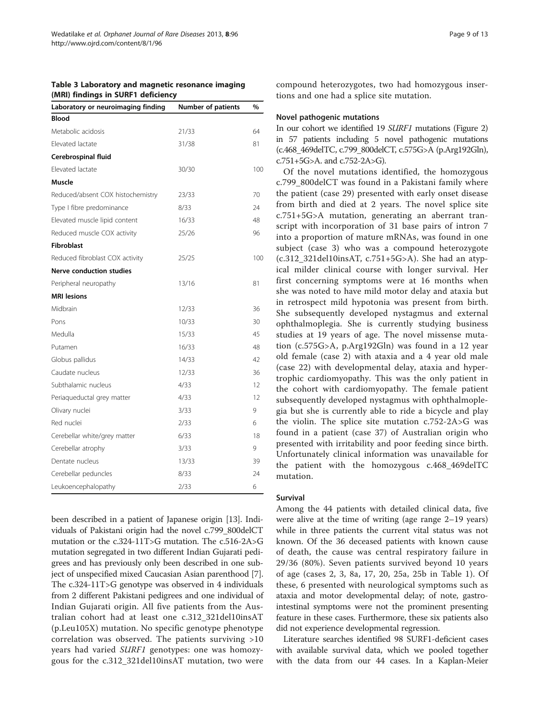<span id="page-8-0"></span>

| Table 3 Laboratory and magnetic resonance imaging |  |
|---------------------------------------------------|--|
| (MRI) findings in SURF1 deficiency                |  |

| Laboratory or neuroimaging finding | <b>Number of patients</b> | %   |
|------------------------------------|---------------------------|-----|
| <b>Blood</b>                       |                           |     |
| Metabolic acidosis                 | 21/33                     | 64  |
| Elevated lactate                   | 31/38                     | 81  |
| Cerebrospinal fluid                |                           |     |
| Elevated lactate                   | 30/30                     | 100 |
| <b>Muscle</b>                      |                           |     |
| Reduced/absent COX histochemistry  | 23/33                     | 70  |
| Type I fibre predominance          | 8/33                      | 24  |
| Elevated muscle lipid content      | 16/33                     | 48  |
| Reduced muscle COX activity        | 25/26                     | 96  |
| <b>Fibroblast</b>                  |                           |     |
| Reduced fibroblast COX activity    | 25/25                     | 100 |
| <b>Nerve conduction studies</b>    |                           |     |
| Peripheral neuropathy              | 13/16                     | 81  |
| <b>MRI</b> lesions                 |                           |     |
| Midbrain                           | 12/33                     | 36  |
| Pons                               | 10/33                     | 30  |
| Medulla                            | 15/33                     | 45  |
| Putamen                            | 16/33                     | 48  |
| Globus pallidus                    | 14/33                     | 42  |
| Caudate nucleus                    | 12/33                     | 36  |
| Subthalamic nucleus                | 4/33                      | 12  |
| Periaqueductal grey matter         | 4/33                      | 12  |
| Olivary nuclei                     | 3/33                      | 9   |
| Red nuclei                         | 2/33                      | 6   |
| Cerebellar white/grey matter       | 6/33                      | 18  |
| Cerebellar atrophy                 | 3/33                      | 9   |
| Dentate nucleus                    | 13/33                     | 39  |
| Cerebellar peduncles               | 8/33                      | 24  |
| Leukoencephalopathy                | 2/33                      | 6   |

been described in a patient of Japanese origin [\[13\]](#page-12-0). Individuals of Pakistani origin had the novel c.799\_800delCT mutation or the c.324-11T>G mutation. The c.516-2A>G mutation segregated in two different Indian Gujarati pedigrees and has previously only been described in one subject of unspecified mixed Caucasian Asian parenthood [[7](#page-12-0)]. The c.324-11T>G genotype was observed in 4 individuals from 2 different Pakistani pedigrees and one individual of Indian Gujarati origin. All five patients from the Australian cohort had at least one c.312\_321del10insAT (p.Leu105X) mutation. No specific genotype phenotype correlation was observed. The patients surviving >10 years had varied SURF1 genotypes: one was homozygous for the c.312\_321del10insAT mutation, two were compound heterozygotes, two had homozygous insertions and one had a splice site mutation.

#### Novel pathogenic mutations

In our cohort we identified 19 SURF1 mutations (Figure [2](#page-9-0)) in 57 patients including 5 novel pathogenic mutations (c.468\_469delTC, c.799\_800delCT, c.575G>A (p.Arg192Gln), c.751+5G>A. and c.752-2A>G).

Of the novel mutations identified, the homozygous c.799\_800delCT was found in a Pakistani family where the patient (case 29) presented with early onset disease from birth and died at 2 years. The novel splice site c.751+5G>A mutation, generating an aberrant transcript with incorporation of 31 base pairs of intron 7 into a proportion of mature mRNAs, was found in one subject (case 3) who was a compound heterozygote (c.312\_321del10insAT, c.751+5G>A). She had an atypical milder clinical course with longer survival. Her first concerning symptoms were at 16 months when she was noted to have mild motor delay and ataxia but in retrospect mild hypotonia was present from birth. She subsequently developed nystagmus and external ophthalmoplegia. She is currently studying business studies at 19 years of age. The novel missense mutation (c.575G>A, p.Arg192Gln) was found in a 12 year old female (case 2) with ataxia and a 4 year old male (case 22) with developmental delay, ataxia and hypertrophic cardiomyopathy. This was the only patient in the cohort with cardiomyopathy. The female patient subsequently developed nystagmus with ophthalmoplegia but she is currently able to ride a bicycle and play the violin. The splice site mutation c.752-2A>G was found in a patient (case 37) of Australian origin who presented with irritability and poor feeding since birth. Unfortunately clinical information was unavailable for the patient with the homozygous c.468\_469delTC mutation.

#### Survival

Among the 44 patients with detailed clinical data, five were alive at the time of writing (age range 2–19 years) while in three patients the current vital status was not known. Of the 36 deceased patients with known cause of death, the cause was central respiratory failure in 29/36 (80%). Seven patients survived beyond 10 years of age (cases 2, 3, 8a, 17, 20, 25a, 25b in Table [1](#page-3-0)). Of these, 6 presented with neurological symptoms such as ataxia and motor developmental delay; of note, gastrointestinal symptoms were not the prominent presenting feature in these cases. Furthermore, these six patients also did not experience developmental regression.

Literature searches identified 98 SURF1-deficient cases with available survival data, which we pooled together with the data from our 44 cases. In a Kaplan-Meier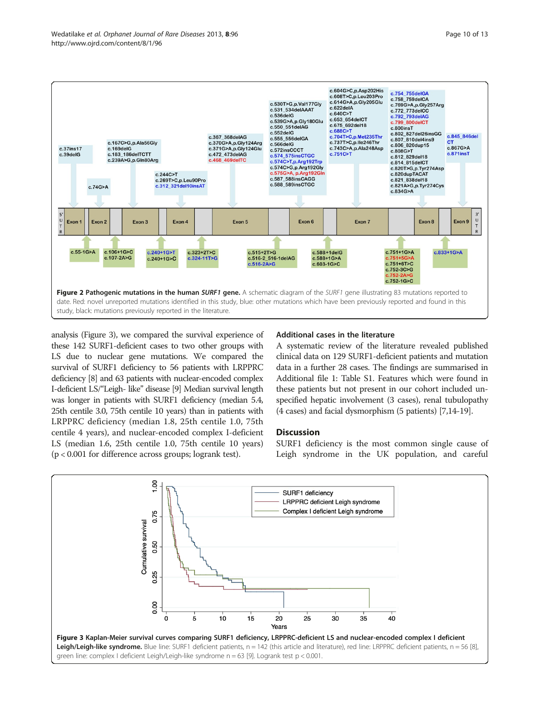<span id="page-9-0"></span>

analysis (Figure 3), we compared the survival experience of these 142 SURF1-deficient cases to two other groups with LS due to nuclear gene mutations. We compared the survival of SURF1 deficiency to 56 patients with LRPPRC deficiency [\[8\]](#page-12-0) and 63 patients with nuclear-encoded complex I-deficient LS/"Leigh- like" disease [[9](#page-12-0)] Median survival length was longer in patients with SURF1 deficiency (median 5.4, 25th centile 3.0, 75th centile 10 years) than in patients with LRPPRC deficiency (median 1.8, 25th centile 1.0, 75th centile 4 years), and nuclear-encoded complex I-deficient LS (median 1.6, 25th centile 1.0, 75th centile 10 years) (p < 0.001 for difference across groups; logrank test).

#### Additional cases in the literature

A systematic review of the literature revealed published clinical data on 129 SURF1-deficient patients and mutation data in a further 28 cases. The findings are summarised in Additional file [1](#page-11-0): Table S1. Features which were found in these patients but not present in our cohort included unspecified hepatic involvement (3 cases), renal tubulopathy (4 cases) and facial dysmorphism (5 patients) [[7,14-19\]](#page-12-0).

### **Discussion**

SURF1 deficiency is the most common single cause of Leigh syndrome in the UK population, and careful

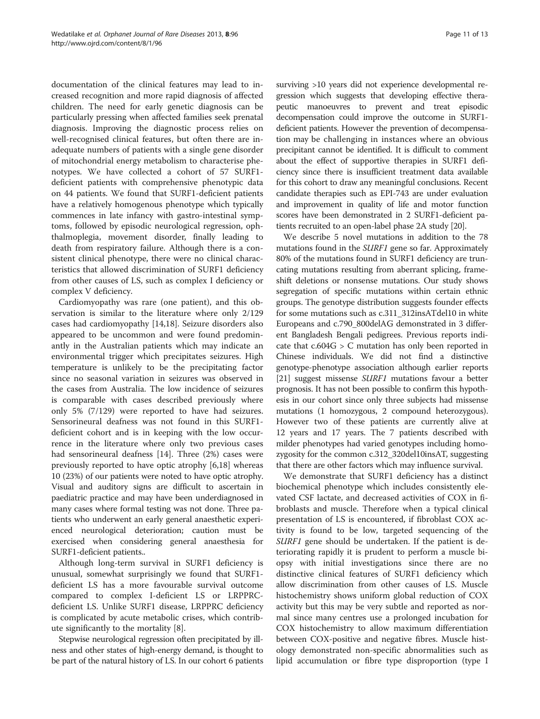documentation of the clinical features may lead to increased recognition and more rapid diagnosis of affected children. The need for early genetic diagnosis can be particularly pressing when affected families seek prenatal diagnosis. Improving the diagnostic process relies on well-recognised clinical features, but often there are inadequate numbers of patients with a single gene disorder of mitochondrial energy metabolism to characterise phenotypes. We have collected a cohort of 57 SURF1 deficient patients with comprehensive phenotypic data on 44 patients. We found that SURF1-deficient patients have a relatively homogenous phenotype which typically commences in late infancy with gastro-intestinal symptoms, followed by episodic neurological regression, ophthalmoplegia, movement disorder, finally leading to death from respiratory failure. Although there is a consistent clinical phenotype, there were no clinical characteristics that allowed discrimination of SURF1 deficiency from other causes of LS, such as complex I deficiency or complex V deficiency.

Cardiomyopathy was rare (one patient), and this observation is similar to the literature where only 2/129 cases had cardiomyopathy [[14,18\]](#page-12-0). Seizure disorders also appeared to be uncommon and were found predominantly in the Australian patients which may indicate an environmental trigger which precipitates seizures. High temperature is unlikely to be the precipitating factor since no seasonal variation in seizures was observed in the cases from Australia. The low incidence of seizures is comparable with cases described previously where only 5% (7/129) were reported to have had seizures. Sensorineural deafness was not found in this SURF1 deficient cohort and is in keeping with the low occurrence in the literature where only two previous cases had sensorineural deafness [\[14\]](#page-12-0). Three (2%) cases were previously reported to have optic atrophy [\[6,18](#page-12-0)] whereas 10 (23%) of our patients were noted to have optic atrophy. Visual and auditory signs are difficult to ascertain in paediatric practice and may have been underdiagnosed in many cases where formal testing was not done. Three patients who underwent an early general anaesthetic experienced neurological deterioration; caution must be exercised when considering general anaesthesia for SURF1-deficient patients..

Although long-term survival in SURF1 deficiency is unusual, somewhat surprisingly we found that SURF1 deficient LS has a more favourable survival outcome compared to complex I-deficient LS or LRPPRCdeficient LS. Unlike SURF1 disease, LRPPRC deficiency is complicated by acute metabolic crises, which contribute significantly to the mortality [[8\]](#page-12-0).

Stepwise neurological regression often precipitated by illness and other states of high-energy demand, is thought to be part of the natural history of LS. In our cohort 6 patients

surviving >10 years did not experience developmental regression which suggests that developing effective therapeutic manoeuvres to prevent and treat episodic decompensation could improve the outcome in SURF1 deficient patients. However the prevention of decompensation may be challenging in instances where an obvious precipitant cannot be identified. It is difficult to comment about the effect of supportive therapies in SURF1 deficiency since there is insufficient treatment data available for this cohort to draw any meaningful conclusions. Recent candidate therapies such as EPI-743 are under evaluation and improvement in quality of life and motor function scores have been demonstrated in 2 SURF1-deficient patients recruited to an open-label phase 2A study [\[20\]](#page-12-0).

We describe 5 novel mutations in addition to the 78 mutations found in the SURF1 gene so far. Approximately 80% of the mutations found in SURF1 deficiency are truncating mutations resulting from aberrant splicing, frameshift deletions or nonsense mutations. Our study shows segregation of specific mutations within certain ethnic groups. The genotype distribution suggests founder effects for some mutations such as c.311\_312insATdel10 in white Europeans and c.790\_800delAG demonstrated in 3 different Bangladesh Bengali pedigrees. Previous reports indicate that c.604G > C mutation has only been reported in Chinese individuals. We did not find a distinctive genotype-phenotype association although earlier reports [[21](#page-12-0)] suggest missense *SURF1* mutations favour a better prognosis. It has not been possible to confirm this hypothesis in our cohort since only three subjects had missense mutations (1 homozygous, 2 compound heterozygous). However two of these patients are currently alive at 12 years and 17 years. The 7 patients described with milder phenotypes had varied genotypes including homozygosity for the common c.312\_320del10insAT, suggesting that there are other factors which may influence survival.

We demonstrate that SURF1 deficiency has a distinct biochemical phenotype which includes consistently elevated CSF lactate, and decreased activities of COX in fibroblasts and muscle. Therefore when a typical clinical presentation of LS is encountered, if fibroblast COX activity is found to be low, targeted sequencing of the SURF1 gene should be undertaken. If the patient is deteriorating rapidly it is prudent to perform a muscle biopsy with initial investigations since there are no distinctive clinical features of SURF1 deficiency which allow discrimination from other causes of LS. Muscle histochemistry shows uniform global reduction of COX activity but this may be very subtle and reported as normal since many centres use a prolonged incubation for COX histochemistry to allow maximum differentiation between COX-positive and negative fibres. Muscle histology demonstrated non-specific abnormalities such as lipid accumulation or fibre type disproportion (type I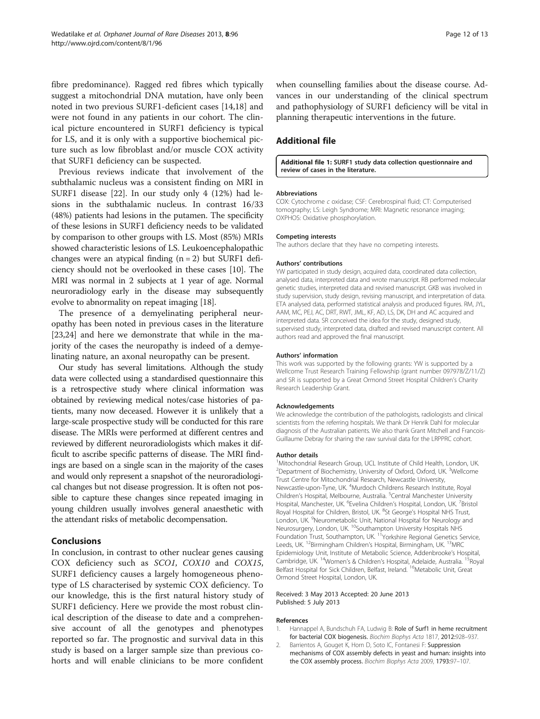<span id="page-11-0"></span>fibre predominance). Ragged red fibres which typically suggest a mitochondrial DNA mutation, have only been noted in two previous SURF1-deficient cases [\[14,18](#page-12-0)] and were not found in any patients in our cohort. The clinical picture encountered in SURF1 deficiency is typical for LS, and it is only with a supportive biochemical picture such as low fibroblast and/or muscle COX activity that SURF1 deficiency can be suspected.

Previous reviews indicate that involvement of the subthalamic nucleus was a consistent finding on MRI in SURF1 disease [\[22](#page-12-0)]. In our study only 4 (12%) had lesions in the subthalamic nucleus. In contrast 16/33 (48%) patients had lesions in the putamen. The specificity of these lesions in SURF1 deficiency needs to be validated by comparison to other groups with LS. Most (85%) MRIs showed characteristic lesions of LS. Leukoencephalopathic changes were an atypical finding  $(n = 2)$  but SURF1 deficiency should not be overlooked in these cases [\[10\]](#page-12-0). The MRI was normal in 2 subjects at 1 year of age. Normal neuroradiology early in the disease may subsequently evolve to abnormality on repeat imaging [[18](#page-12-0)].

The presence of a demyelinating peripheral neuropathy has been noted in previous cases in the literature [[23,24\]](#page-12-0) and here we demonstrate that while in the majority of the cases the neuropathy is indeed of a demyelinating nature, an axonal neuropathy can be present.

Our study has several limitations. Although the study data were collected using a standardised questionnaire this is a retrospective study where clinical information was obtained by reviewing medical notes/case histories of patients, many now deceased. However it is unlikely that a large-scale prospective study will be conducted for this rare disease. The MRIs were performed at different centres and reviewed by different neuroradiologists which makes it difficult to ascribe specific patterns of disease. The MRI findings are based on a single scan in the majority of the cases and would only represent a snapshot of the neuroradiological changes but not disease progression. It is often not possible to capture these changes since repeated imaging in young children usually involves general anaesthetic with the attendant risks of metabolic decompensation.

#### Conclusions

In conclusion, in contrast to other nuclear genes causing COX deficiency such as SCO1, COX10 and COX15, SURF1 deficiency causes a largely homogeneous phenotype of LS characterised by systemic COX deficiency. To our knowledge, this is the first natural history study of SURF1 deficiency. Here we provide the most robust clinical description of the disease to date and a comprehensive account of all the genotypes and phenotypes reported so far. The prognostic and survival data in this study is based on a larger sample size than previous cohorts and will enable clinicians to be more confident

when counselling families about the disease course. Advances in our understanding of the clinical spectrum and pathophysiology of SURF1 deficiency will be vital in planning therapeutic interventions in the future.

### Additional file

[Additional file 1:](http://www.biomedcentral.com/content/supplementary/1750-1172-8-96-S1.docx) SURF1 study data collection questionnaire and review of cases in the literature.

#### Abbreviations

COX: Cytochrome c oxidase; CSF: Cerebrospinal fluid; CT: Computerised tomography; LS: Leigh Syndrome; MRI: Magnetic resonance imaging; OXPHOS: Oxidative phosphorylation.

#### Competing interests

The authors declare that they have no competing interests.

#### Authors' contributions

YW participated in study design, acquired data, coordinated data collection, analysed data, interpreted data and wrote manuscript. RB performed molecular genetic studies, interpreted data and revised manuscript. GKB was involved in study supervision, study design, revising manuscript, and interpretation of data. ETA analysed data, performed statistical analysis and produced figures. RM, JYL, AAM, MC, PEJ, AC, DRT, RWT, JML, KF, AD, LS, DK, DH and AC acquired and interpreted data. SR conceived the idea for the study, designed study, supervised study, interpreted data, drafted and revised manuscript content. All authors read and approved the final manuscript.

#### Authors' information

This work was supported by the following grants: YW is supported by a Wellcome Trust Research Training Fellowship (grant number 097978/Z/11/Z) and SR is supported by a Great Ormond Street Hospital Children's Charity Research Leadership Grant.

#### Acknowledgements

We acknowledge the contribution of the pathologists, radiologists and clinical scientists from the referring hospitals. We thank Dr Henrik Dahl for molecular diagnosis of the Australian patients. We also thank Grant Mitchell and Francois-Guillaume Debray for sharing the raw survival data for the LRPPRC cohort.

#### Author details

<sup>1</sup>Mitochondrial Research Group, UCL Institute of Child Health, London, UK <sup>2</sup>Department of Biochemistry, University of Oxford, Oxford, UK. <sup>3</sup>Wellcome Trust Centre for Mitochondrial Research, Newcastle University, Newcastle-upon-Tyne, UK. <sup>4</sup>Murdoch Childrens Research Institute, Royal Children's Hospital, Melbourne, Australia. <sup>5</sup>Central Manchester University Hospital, Manchester, UK. <sup>6</sup>Evelina Children's Hospital, London, UK. <sup>7</sup>Bristol Royal Hospital for Children, Bristol, UK. <sup>8</sup>St George's Hospital NHS Trust London, UK. <sup>9</sup>Neurometabolic Unit, National Hospital for Neurology and Neurosurgery, London, UK. <sup>10</sup>Southampton University Hospitals NHS Foundation Trust, Southampton, UK.<sup>11</sup>Yorkshire Regional Genetics Service, Leeds, UK. <sup>12</sup>Birmingham Children's Hospital, Birmingham, UK. <sup>13</sup>MRC Epidemiology Unit, Institute of Metabolic Science, Addenbrooke's Hospital, Cambridge, UK. 14Women's & Children's Hospital, Adelaide, Australia. 15Royal Belfast Hospital for Sick Children, Belfast, Ireland. <sup>16</sup>Metabolic Unit, Great Ormond Street Hospital, London, UK.

#### Received: 3 May 2013 Accepted: 20 June 2013 Published: 5 July 2013

#### References

- 1. Hannappel A, Bundschuh FA, Ludwig B: Role of Surf1 in heme recruitment for bacterial COX biogenesis. Biochim Biophys Acta 1817, 2012:928–937.
- 2. Barrientos A, Gouget K, Horn D, Soto IC, Fontanesi F: Suppression mechanisms of COX assembly defects in yeast and human: insights into the COX assembly process. Biochim Biophys Acta 2009, 1793:97–107.